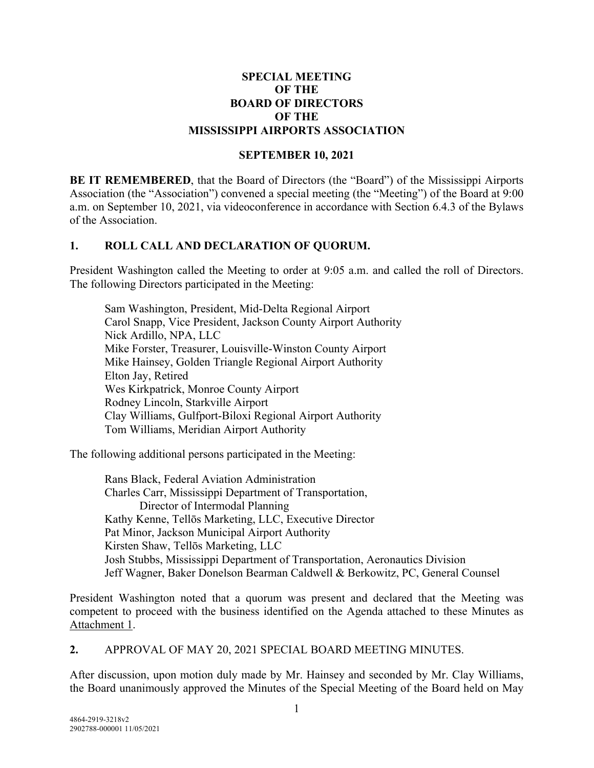#### **SPECIAL MEETING OF THE BOARD OF DIRECTORS OF THE MISSISSIPPI AIRPORTS ASSOCIATION**

#### **SEPTEMBER 10, 2021**

**BE IT REMEMBERED**, that the Board of Directors (the "Board") of the Mississippi Airports Association (the "Association") convened a special meeting (the "Meeting") of the Board at 9:00 a.m. on September 10, 2021, via videoconference in accordance with Section 6.4.3 of the Bylaws of the Association.

#### **1. ROLL CALL AND DECLARATION OF QUORUM.**

President Washington called the Meeting to order at 9:05 a.m. and called the roll of Directors. The following Directors participated in the Meeting:

Sam Washington, President, Mid-Delta Regional Airport Carol Snapp, Vice President, Jackson County Airport Authority Nick Ardillo, NPA, LLC Mike Forster, Treasurer, Louisville-Winston County Airport Mike Hainsey, Golden Triangle Regional Airport Authority Elton Jay, Retired Wes Kirkpatrick, Monroe County Airport Rodney Lincoln, Starkville Airport Clay Williams, Gulfport-Biloxi Regional Airport Authority Tom Williams, Meridian Airport Authority

The following additional persons participated in the Meeting:

Rans Black, Federal Aviation Administration Charles Carr, Mississippi Department of Transportation, Director of Intermodal Planning Kathy Kenne, Tellōs Marketing, LLC, Executive Director Pat Minor, Jackson Municipal Airport Authority Kirsten Shaw, Tellōs Marketing, LLC Josh Stubbs, Mississippi Department of Transportation, Aeronautics Division Jeff Wagner, Baker Donelson Bearman Caldwell & Berkowitz, PC, General Counsel

President Washington noted that a quorum was present and declared that the Meeting was competent to proceed with the business identified on the Agenda attached to these Minutes as Attachment 1.

**2.** APPROVAL OF MAY 20, 2021 SPECIAL BOARD MEETING MINUTES.

After discussion, upon motion duly made by Mr. Hainsey and seconded by Mr. Clay Williams, the Board unanimously approved the Minutes of the Special Meeting of the Board held on May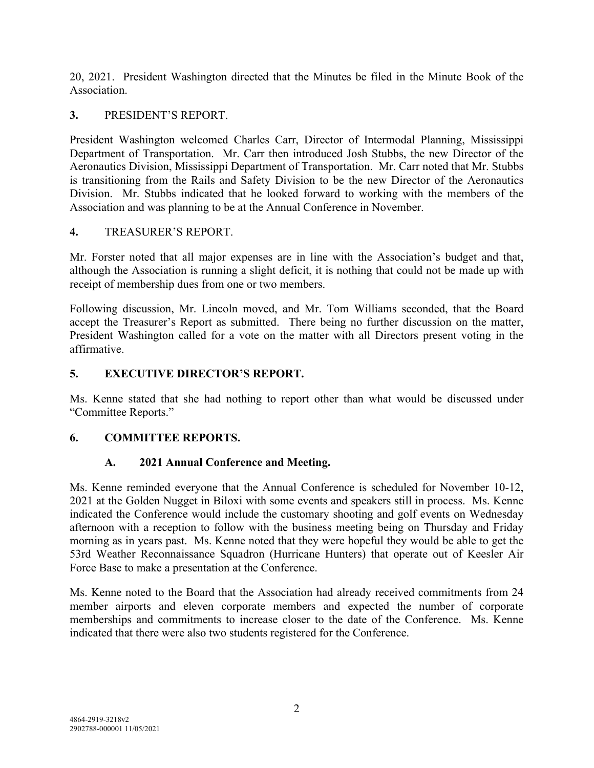20, 2021. President Washington directed that the Minutes be filed in the Minute Book of the Association.

#### **3.** PRESIDENT'S REPORT.

President Washington welcomed Charles Carr, Director of Intermodal Planning, Mississippi Department of Transportation. Mr. Carr then introduced Josh Stubbs, the new Director of the Aeronautics Division, Mississippi Department of Transportation. Mr. Carr noted that Mr. Stubbs is transitioning from the Rails and Safety Division to be the new Director of the Aeronautics Division. Mr. Stubbs indicated that he looked forward to working with the members of the Association and was planning to be at the Annual Conference in November.

## **4.** TREASURER'S REPORT.

Mr. Forster noted that all major expenses are in line with the Association's budget and that, although the Association is running a slight deficit, it is nothing that could not be made up with receipt of membership dues from one or two members.

Following discussion, Mr. Lincoln moved, and Mr. Tom Williams seconded, that the Board accept the Treasurer's Report as submitted. There being no further discussion on the matter, President Washington called for a vote on the matter with all Directors present voting in the affirmative.

## **5. EXECUTIVE DIRECTOR'S REPORT.**

Ms. Kenne stated that she had nothing to report other than what would be discussed under "Committee Reports."

## **6. COMMITTEE REPORTS.**

## **A. 2021 Annual Conference and Meeting.**

Ms. Kenne reminded everyone that the Annual Conference is scheduled for November 10-12, 2021 at the Golden Nugget in Biloxi with some events and speakers still in process. Ms. Kenne indicated the Conference would include the customary shooting and golf events on Wednesday afternoon with a reception to follow with the business meeting being on Thursday and Friday morning as in years past. Ms. Kenne noted that they were hopeful they would be able to get the 53rd Weather Reconnaissance Squadron (Hurricane Hunters) that operate out of Keesler Air Force Base to make a presentation at the Conference.

Ms. Kenne noted to the Board that the Association had already received commitments from 24 member airports and eleven corporate members and expected the number of corporate memberships and commitments to increase closer to the date of the Conference. Ms. Kenne indicated that there were also two students registered for the Conference.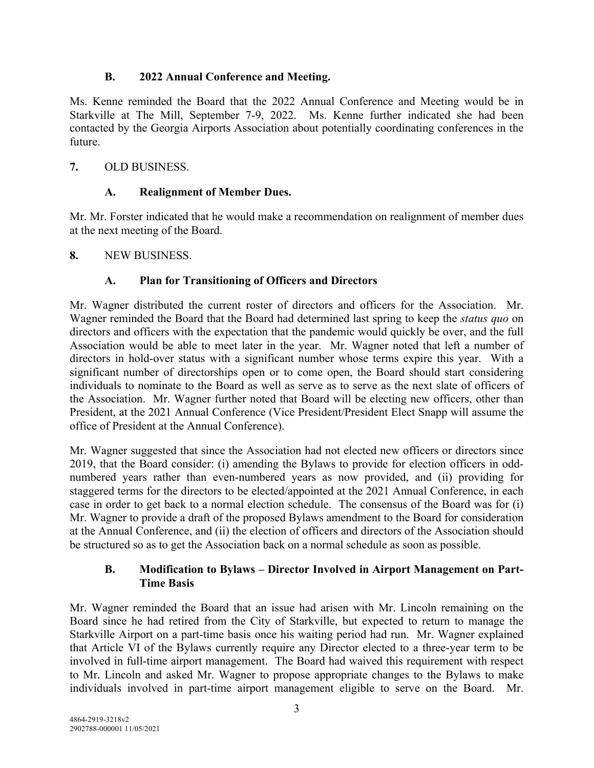## **B. 2022 Annual Conference and Meeting.**

Ms. Kenne reminded the Board that the 2022 Annual Conference and Meeting would be in Starkville at The Mill, September 7-9, 2022. Ms. Kenne further indicated she had been contacted by the Georgia Airports Association about potentially coordinating conferences in the future.

## **7.** OLD BUSINESS.

## **A. Realignment of Member Dues.**

Mr. Mr. Forster indicated that he would make a recommendation on realignment of member dues at the next meeting of the Board.

#### **8.** NEW BUSINESS.

## **A. Plan for Transitioning of Officers and Directors**

Mr. Wagner distributed the current roster of directors and officers for the Association. Mr. Wagner reminded the Board that the Board had determined last spring to keep the *status quo* on directors and officers with the expectation that the pandemic would quickly be over, and the full Association would be able to meet later in the year. Mr. Wagner noted that left a number of directors in hold-over status with a significant number whose terms expire this year. With a significant number of directorships open or to come open, the Board should start considering individuals to nominate to the Board as well as serve as to serve as the next slate of officers of the Association. Mr. Wagner further noted that Board will be electing new officers, other than President, at the 2021 Annual Conference (Vice President/President Elect Snapp will assume the office of President at the Annual Conference).

Mr. Wagner suggested that since the Association had not elected new officers or directors since 2019, that the Board consider: (i) amending the Bylaws to provide for election officers in oddnumbered years rather than even-numbered years as now provided, and (ii) providing for staggered terms for the directors to be elected/appointed at the 2021 Annual Conference, in each case in order to get back to a normal election schedule. The consensus of the Board was for (i) Mr. Wagner to provide a draft of the proposed Bylaws amendment to the Board for consideration at the Annual Conference, and (ii) the election of officers and directors of the Association should be structured so as to get the Association back on a normal schedule as soon as possible.

## **B. Modification to Bylaws – Director Involved in Airport Management on Part-Time Basis**

Mr. Wagner reminded the Board that an issue had arisen with Mr. Lincoln remaining on the Board since he had retired from the City of Starkville, but expected to return to manage the Starkville Airport on a part-time basis once his waiting period had run. Mr. Wagner explained that Article VI of the Bylaws currently require any Director elected to a three-year term to be involved in full-time airport management. The Board had waived this requirement with respect to Mr. Lincoln and asked Mr. Wagner to propose appropriate changes to the Bylaws to make individuals involved in part-time airport management eligible to serve on the Board. Mr.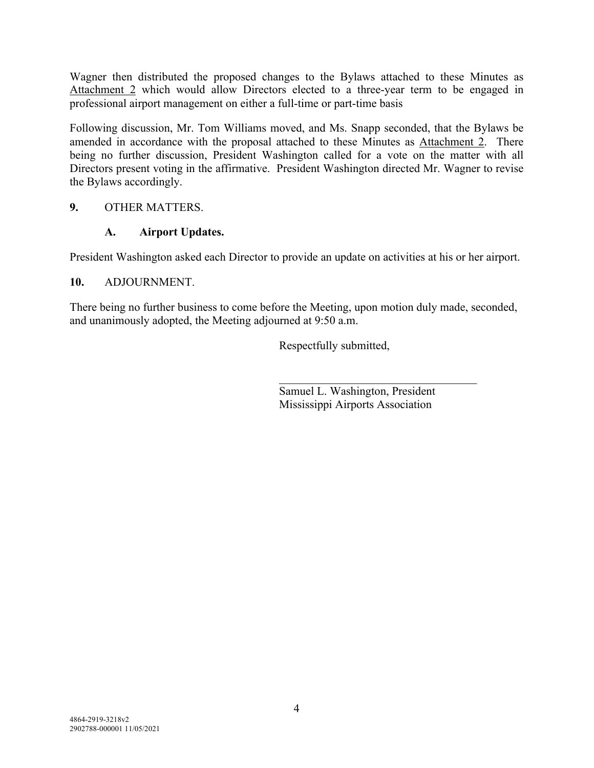Wagner then distributed the proposed changes to the Bylaws attached to these Minutes as Attachment 2 which would allow Directors elected to a three-year term to be engaged in professional airport management on either a full-time or part-time basis

Following discussion, Mr. Tom Williams moved, and Ms. Snapp seconded, that the Bylaws be amended in accordance with the proposal attached to these Minutes as Attachment 2. There being no further discussion, President Washington called for a vote on the matter with all Directors present voting in the affirmative. President Washington directed Mr. Wagner to revise the Bylaws accordingly.

## **9.** OTHER MATTERS.

## **A. Airport Updates.**

President Washington asked each Director to provide an update on activities at his or her airport.

## **10.** ADJOURNMENT.

There being no further business to come before the Meeting, upon motion duly made, seconded, and unanimously adopted, the Meeting adjourned at 9:50 a.m.

Respectfully submitted,

Samuel L. Washington, President Mississippi Airports Association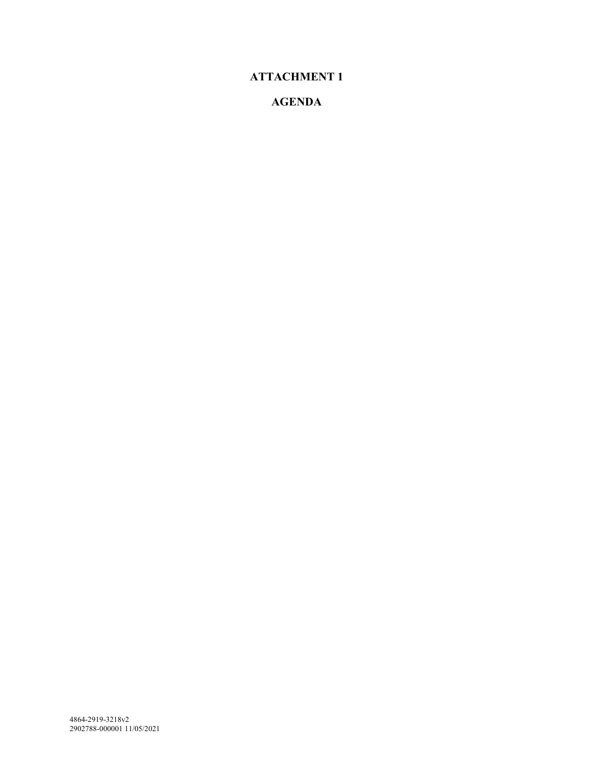# **ATTACHMENT 1**

## **AGENDA**